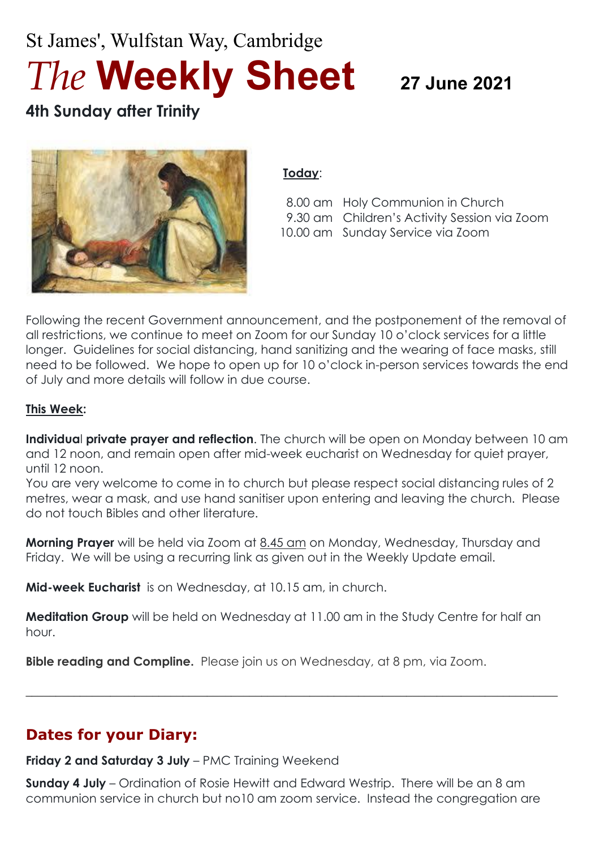# St James', Wulfstan Way, Cambridge *The* **Weekly Sheet <sup>27</sup> June <sup>2021</sup>**

# **4th Sunday after Trinity**



### **Today**:

 8.00 am Holy Communion in Church 9.30 am Children's Activity Session via Zoom 10.00 am Sunday Service via Zoom

Following the recent Government announcement, and the postponement of the removal of all restrictions, we continue to meet on Zoom for our Sunday 10 o'clock services for a little longer. Guidelines for social distancing, hand sanitizing and the wearing of face masks, still need to be followed. We hope to open up for 10 o'clock in-person services towards the end of July and more details will follow in due course.

#### **This Week:**

**Individua**l **private prayer and reflection**. The church will be open on Monday between 10 am and 12 noon, and remain open after mid-week eucharist on Wednesday for quiet prayer, until 12 noon.

You are very welcome to come in to church but please respect social distancing rules of 2 metres, wear a mask, and use hand sanitiser upon entering and leaving the church. Please do not touch Bibles and other literature.

**Morning Prayer** will be held via Zoom at 8.45 am on Monday, Wednesday, Thursday and Friday. We will be using a recurring link as given out in the Weekly Update email.

**Mid-week Eucharist** is on Wednesday, at 10.15 am, in church.

**Meditation Group** will be held on Wednesday at 11.00 am in the Study Centre for half an hour.

 $\_$  , and the set of the set of the set of the set of the set of the set of the set of the set of the set of the set of the set of the set of the set of the set of the set of the set of the set of the set of the set of th

**Bible reading and Compline.** Please join us on Wednesday, at 8 pm, via Zoom.

# **Dates for your Diary:**

**Friday 2 and Saturday 3 July** – PMC Training Weekend

**Sunday 4 July** – Ordination of Rosie Hewitt and Edward Westrip. There will be an 8 am communion service in church but no10 am zoom service. Instead the congregation are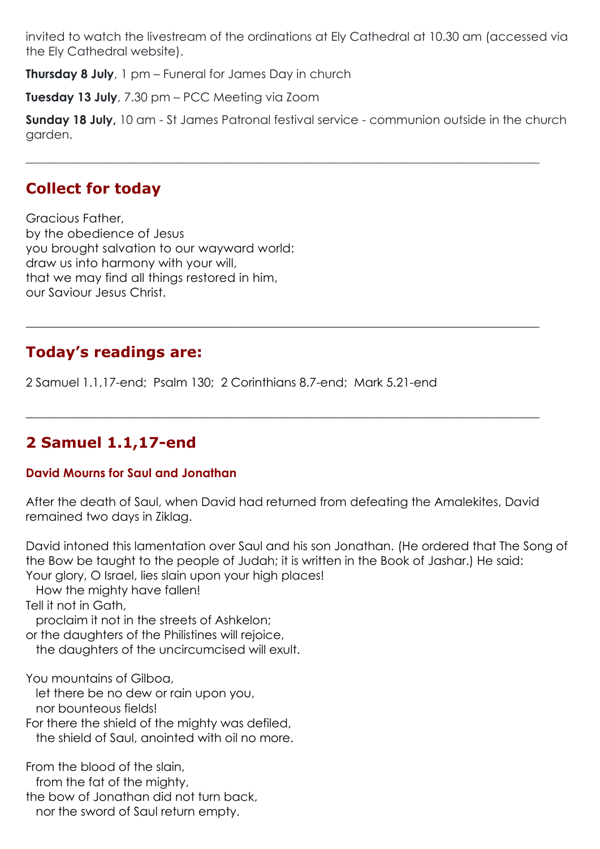invited to watch the livestream of the ordinations at Ely Cathedral at 10.30 am (accessed via the Ely Cathedral website).

**Thursday 8 July**, 1 pm – Funeral for James Day in church

**Tuesday 13 July**, 7.30 pm – PCC Meeting via Zoom

**Sunday 18 July,** 10 am - St James Patronal festival service - communion outside in the church garden.

 $\_$  , and the set of the set of the set of the set of the set of the set of the set of the set of the set of the set of the set of the set of the set of the set of the set of the set of the set of the set of the set of th

**\_\_\_\_\_\_\_\_\_\_\_\_\_\_\_\_\_\_\_\_\_\_\_\_\_\_\_\_\_\_\_\_\_\_\_\_\_\_\_\_\_\_\_\_\_\_\_\_\_\_\_\_\_\_\_\_\_\_\_\_\_\_\_\_\_\_\_\_\_\_\_\_\_\_\_\_\_\_\_\_\_\_\_\_\_**

 $\_$  , and the set of the set of the set of the set of the set of the set of the set of the set of the set of the set of the set of the set of the set of the set of the set of the set of the set of the set of the set of th

## **Collect for today**

Gracious Father, by the obedience of Jesus you brought salvation to our wayward world: draw us into harmony with your will, that we may find all things restored in him, our Saviour Jesus Christ.

# **Today's readings are:**

2 Samuel 1.1,17-end; Psalm 130; 2 Corinthians 8.7-end; Mark 5.21-end

# **2 Samuel 1.1,17-end**

#### **David Mourns for Saul and Jonathan**

After the death of Saul, when David had returned from defeating the Amalekites, David remained two days in Ziklag.

David intoned this lamentation over Saul and his son Jonathan. (He ordered that The Song of the Bow be taught to the people of Judah; it is written in the Book of Jashar.) He said: Your glory, O Israel, lies slain upon your high places!

 How the mighty have fallen! Tell it not in Gath,

 proclaim it not in the streets of Ashkelon; or the daughters of the Philistines will rejoice, the daughters of the uncircumcised will exult.

You mountains of Gilboa,

let there be no dew or rain upon you,

nor bounteous fields!

For there the shield of the mighty was defiled, the shield of Saul, anointed with oil no more.

From the blood of the slain, from the fat of the mighty, the bow of Jonathan did not turn back, nor the sword of Saul return empty.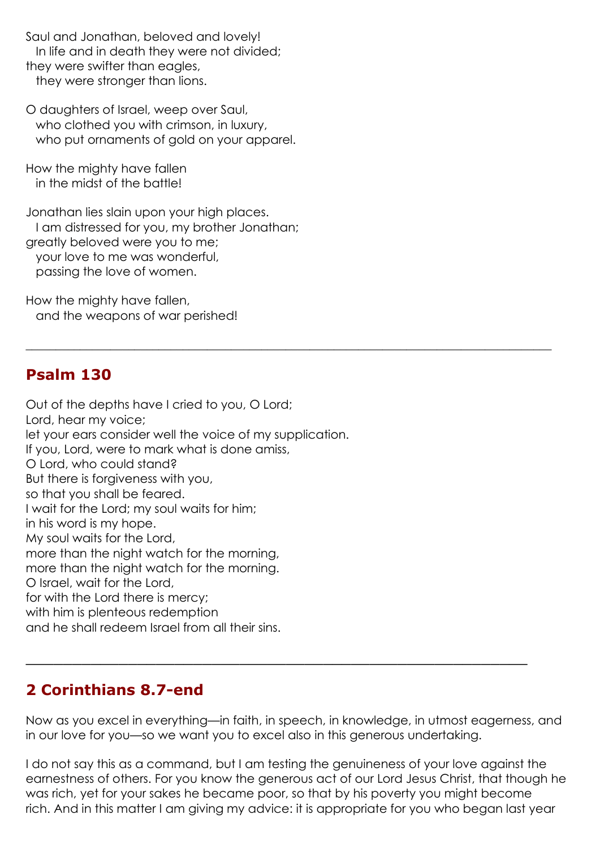Saul and Jonathan, beloved and lovely! In life and in death they were not divided; they were swifter than eagles, they were stronger than lions.

O daughters of Israel, weep over Saul, who clothed you with crimson, in luxury, who put ornaments of gold on your apparel.

How the mighty have fallen in the midst of the battle!

Jonathan lies slain upon your high places. I am distressed for you, my brother Jonathan; greatly beloved were you to me; your love to me was wonderful, passing the love of women.

How the mighty have fallen, and the weapons of war perished!

# **Psalm 130**

Out of the depths have I cried to you, O Lord; Lord, hear my voice; let your ears consider well the voice of my supplication. If you, Lord, were to mark what is done amiss, O Lord, who could stand? But there is forgiveness with you, so that you shall be feared. I wait for the Lord; my soul waits for him; in his word is my hope. My soul waits for the Lord, more than the night watch for the morning, more than the night watch for the morning. O Israel, wait for the Lord, for with the Lord there is mercy; with him is plenteous redemption and he shall redeem Israel from all their sins.

# **2 Corinthians 8.7-end**

Now as you excel in everything—in faith, in speech, in knowledge, in utmost eagerness, and in our love for you—so we want you to excel also in this generous undertaking.

\_\_\_\_\_\_\_\_\_\_\_\_\_\_\_\_\_\_\_\_\_\_\_\_\_\_\_\_\_\_\_\_\_\_\_\_\_\_\_\_\_\_\_\_\_\_\_\_\_\_\_\_\_\_

 $\_$  , and the set of the set of the set of the set of the set of the set of the set of the set of the set of the set of the set of the set of the set of the set of the set of the set of the set of the set of the set of th

I do not say this as a command, but I am testing the genuineness of your love against the earnestness of others. For you know the generous act of our Lord Jesus Christ, that though he was rich, yet for your sakes he became poor, so that by his poverty you might become rich. And in this matter I am giving my advice: it is appropriate for you who began last year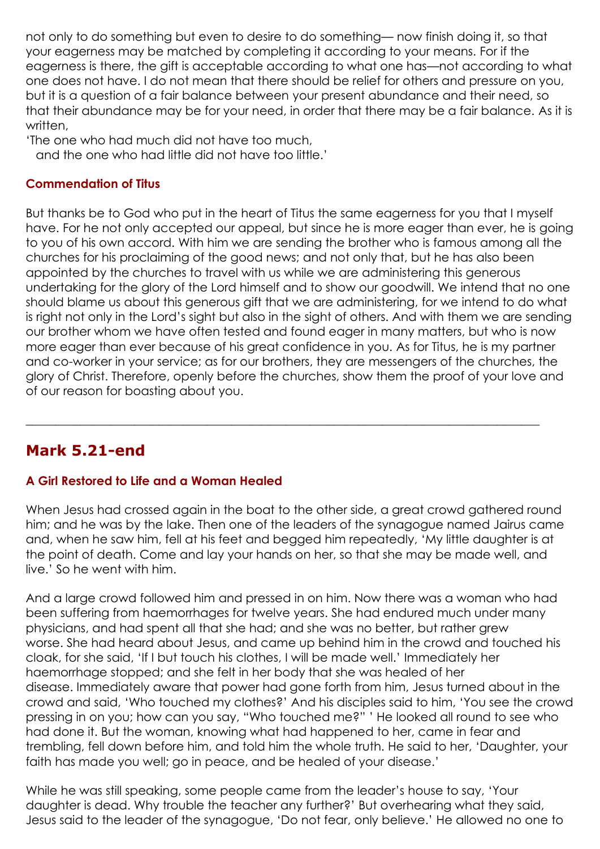not only to do something but even to desire to do something— now finish doing it, so that your eagerness may be matched by completing it according to your means. For if the eagerness is there, the gift is acceptable according to what one has—not according to what one does not have. I do not mean that there should be relief for others and pressure on you, but it is a question of a fair balance between your present abundance and their need, so that their abundance may be for your need, in order that there may be a fair balance. As it is written,

'The one who had much did not have too much,

and the one who had little did not have too little.'

#### **Commendation of Titus**

But thanks be to God who put in the heart of Titus the same eagerness for you that I myself have. For he not only accepted our appeal, but since he is more eager than ever, he is going to you of his own accord. With him we are sending the brother who is famous among all the churches for his proclaiming of the good news; and not only that, but he has also been appointed by the churches to travel with us while we are administering this generous undertaking for the glory of the Lord himself and to show our goodwill. We intend that no one should blame us about this generous gift that we are administering, for we intend to do what is right not only in the Lord's sight but also in the sight of others. And with them we are sending our brother whom we have often tested and found eager in many matters, but who is now more eager than ever because of his great confidence in you. As for Titus, he is my partner and co-worker in your service; as for our brothers, they are messengers of the churches, the glory of Christ. Therefore, openly before the churches, show them the proof of your love and of our reason for boasting about you.

# **Mark 5.21-end**

#### **A Girl Restored to Life and a Woman Healed**

When Jesus had crossed again in the boat to the other side, a great crowd gathered round him; and he was by the lake. Then one of the leaders of the synagogue named Jairus came and, when he saw him, fell at his feet and begged him repeatedly, 'My little daughter is at the point of death. Come and lay your hands on her, so that she may be made well, and live.' So he went with him.

 $\_$  , and the set of the set of the set of the set of the set of the set of the set of the set of the set of the set of the set of the set of the set of the set of the set of the set of the set of the set of the set of th

And a large crowd followed him and pressed in on him. Now there was a woman who had been suffering from haemorrhages for twelve years. She had endured much under many physicians, and had spent all that she had; and she was no better, but rather grew worse. She had heard about Jesus, and came up behind him in the crowd and touched his cloak, for she said, 'If I but touch his clothes, I will be made well.' Immediately her haemorrhage stopped; and she felt in her body that she was healed of her disease. Immediately aware that power had gone forth from him, Jesus turned about in the crowd and said, 'Who touched my clothes?' And his disciples said to him, 'You see the crowd pressing in on you; how can you say, "Who touched me?" ' He looked all round to see who had done it. But the woman, knowing what had happened to her, came in fear and trembling, fell down before him, and told him the whole truth. He said to her, 'Daughter, your faith has made you well; go in peace, and be healed of your disease.'

While he was still speaking, some people came from the leader's house to say, 'Your daughter is dead. Why trouble the teacher any further?' But overhearing what they said, Jesus said to the leader of the synagogue, 'Do not fear, only believe.' He allowed no one to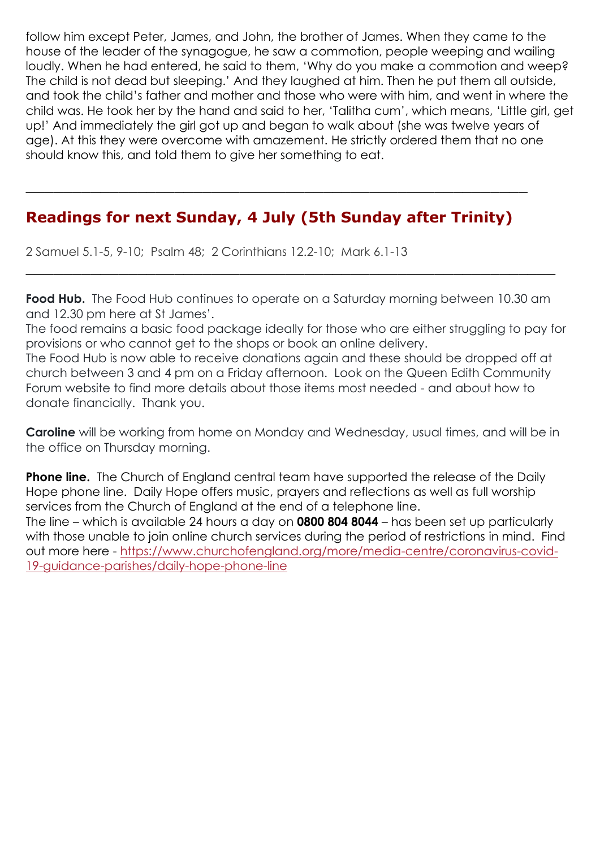follow him except Peter, James, and John, the brother of James. When they came to the house of the leader of the synagogue, he saw a commotion, people weeping and wailing loudly. When he had entered, he said to them, 'Why do you make a commotion and weep? The child is not dead but sleeping.' And they laughed at him. Then he put them all outside, and took the child's father and mother and those who were with him, and went in where the child was. He took her by the hand and said to her, 'Talitha cum', which means, 'Little girl, get up!' And immediately the girl got up and began to walk about (she was twelve years of age). At this they were overcome with amazement. He strictly ordered them that no one should know this, and told them to give her something to eat.

# **Readings for next Sunday, 4 July (5th Sunday after Trinity)**

\_\_\_\_\_\_\_\_\_\_\_\_\_\_\_\_\_\_\_\_\_\_\_\_\_\_\_\_\_\_\_\_\_\_\_\_\_\_\_\_\_\_\_\_\_\_\_\_\_\_\_\_\_\_

2 Samuel 5.1-5, 9-10; Psalm 48; 2 Corinthians 12.2-10; Mark 6.1-13

**Food Hub.** The Food Hub continues to operate on a Saturday morning between 10.30 am and 12.30 pm here at St James'.

\_\_\_\_\_\_\_\_\_\_\_\_\_\_\_\_\_\_\_\_\_\_\_\_\_\_\_\_\_\_\_\_\_\_\_\_\_\_\_\_\_\_\_\_\_\_\_\_\_\_\_\_\_\_\_\_\_

The food remains a basic food package ideally for those who are either struggling to pay for provisions or who cannot get to the shops or book an online delivery.

The Food Hub is now able to receive donations again and these should be dropped off at church between 3 and 4 pm on a Friday afternoon. Look on the Queen Edith Community Forum website to find more details about those items most needed - and about how to donate financially. Thank you.

**Caroline** will be working from home on Monday and Wednesday, usual times, and will be in the office on Thursday morning.

**Phone line.** The Church of England central team have supported the release of the Daily Hope phone line. Daily Hope offers music, prayers and reflections as well as full worship services from the Church of England at the end of a telephone line.

The line – which is available 24 hours a day on **0800 804 8044** – has been set up particularly with those unable to join online church services during the period of restrictions in mind. Find out more here - [https://www.churchofengland.org/more/media-centre/coronavirus-covid-](https://www.churchofengland.org/more/media-centre/coronavirus-covid-19-guidance-parishes/daily-hope-phone-line)[19-guidance-parishes/daily-hope-phone-line](https://www.churchofengland.org/more/media-centre/coronavirus-covid-19-guidance-parishes/daily-hope-phone-line)